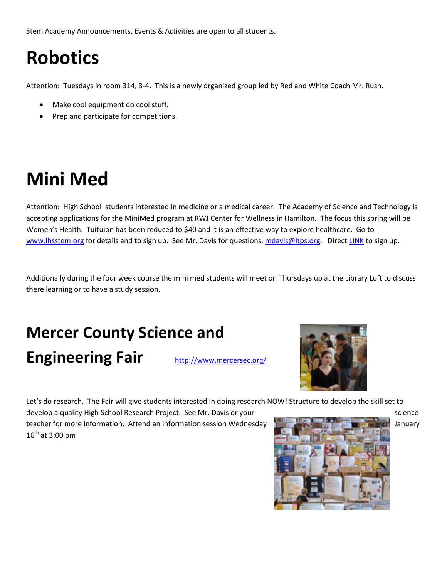Stem Academy Announcements, Events & Activities are open to all students.

# **Robotics**

Attention: Tuesdays in room 314, 3-4. This is a newly organized group led by Red and White Coach Mr. Rush.

- Make cool equipment do cool stuff.
- Prep and participate for competitions.

## **Mini Med**

Attention: High School students interested in medicine or a medical career. The Academy of Science and Technology is accepting applications for the MiniMed program at RWJ Center for Wellness in Hamilton. The focus this spring will be Women's Health. Tuituion has been reduced to \$40 and it is an effective way to explore healthcare. Go to [www.lhsstem.org](http://www.lhsstem.org/) for details and to sign up. See Mr. Davis for questions. [mdavis@ltps.org.](mailto:mdavis@ltps.org) Direct [LINK](https://docs.google.com/a/ltps.info/spreadsheet/viewform?formkey=dE5VMFJRV1Z5NFYwSkdocy1wemg2VXc6MA#gid=0) to sign up.

Additionally during the four week course the mini med students will meet on Thursdays up at the Library Loft to discuss there learning or to have a study session.

### **Mercer County Science and**  Engineering Fair **<http://www.mercersec.org/>**



Let's do research. The Fair will give students interested in doing research NOW! Structure to develop the skill set to

develop a quality High School Research Project. See Mr. Davis or your states and the science science teacher for more information. Attend an information session Wednesday January January January  $16^{th}$  at 3:00 pm

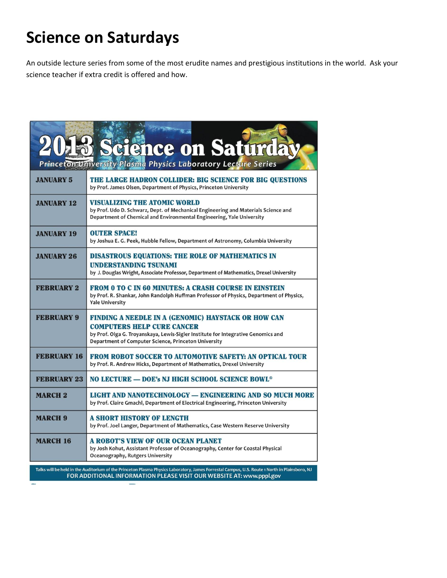#### **Science on Saturdays**

An outside lecture series from some of the most erudite names and prestigious institutions in the world. Ask your science teacher if extra credit is offered and how.

| cience on Saturda<br>Princeton University Plasma Physics Laboratory Lecture Series                                                                                                                                    |                                                                                                                                                                                                                                              |
|-----------------------------------------------------------------------------------------------------------------------------------------------------------------------------------------------------------------------|----------------------------------------------------------------------------------------------------------------------------------------------------------------------------------------------------------------------------------------------|
| <b>JANUARY 5</b>                                                                                                                                                                                                      | THE LARGE HADRON COLLIDER: BIG SCIENCE FOR BIG QUESTIONS<br>by Prof. James Olsen, Department of Physics, Princeton University                                                                                                                |
| <b>JANUARY 12</b>                                                                                                                                                                                                     | <b>VISUALIZING THE ATOMIC WORLD</b><br>by Prof. Udo D. Schwarz, Dept. of Mechanical Engineering and Materials Science and<br>Department of Chemical and Environmental Engineering, Yale University                                           |
| <b>JANUARY 19</b>                                                                                                                                                                                                     | <b>OUTER SPACE!</b><br>by Joshua E. G. Peek, Hubble Fellow, Department of Astronomy, Columbia University                                                                                                                                     |
| <b>JANUARY 26</b>                                                                                                                                                                                                     | <b>DISASTROUS EQUATIONS: THE ROLE OF MATHEMATICS IN</b><br><b>UNDERSTANDING TSUNAMI</b><br>by J. Douglas Wright, Associate Professor, Department of Mathematics, Drexel University                                                           |
| <b>FEBRUARY 2</b>                                                                                                                                                                                                     | <b>FROM 0 TO C IN 60 MINUTES: A CRASH COURSE IN EINSTEIN</b><br>by Prof. R. Shankar, John Randolph Huffman Professor of Physics, Department of Physics,<br><b>Yale University</b>                                                            |
| <b>FEBRUARY 9</b>                                                                                                                                                                                                     | <b>FINDING A NEEDLE IN A (GENOMIC) HAYSTACK OR HOW CAN</b><br><b>COMPUTERS HELP CURE CANCER</b><br>by Prof. Olga G. Troyanskaya, Lewis-Sigler Institute for Integrative Genomics and<br>Department of Computer Science, Princeton University |
| <b>FEBRUARY 16</b>                                                                                                                                                                                                    | <b>FROM ROBOT SOCCER TO AUTOMOTIVE SAFETY: AN OPTICAL TOUR</b><br>by Prof. R. Andrew Hicks, Department of Mathematics, Drexel University                                                                                                     |
| <b>FEBRUARY 23</b>                                                                                                                                                                                                    | <b>NO LECTURE – DOE's NJ HIGH SCHOOL SCIENCE BOWL®</b>                                                                                                                                                                                       |
| <b>MARCH 2</b>                                                                                                                                                                                                        | LIGHT AND NANOTECHNOLOGY — ENGINEERING AND SO MUCH MORE<br>by Prof. Claire Gmachl, Department of Electrical Engineering, Princeton University                                                                                                |
| <b>MARCH 9</b>                                                                                                                                                                                                        | <b>A SHORT HISTORY OF LENGTH</b><br>by Prof. Joel Langer, Department of Mathematics, Case Western Reserve University                                                                                                                         |
| <b>MARCH 16</b>                                                                                                                                                                                                       | A ROBOT'S VIEW OF OUR OCEAN PLANET<br>by Josh Kohut, Assistant Professor of Oceanography, Center for Coastal Physical<br>Oceanography, Rutgers University                                                                                    |
| Talks will be held in the Auditorium of the Princeton Plasma Physics Laboratory, James Forrestal Campus, U.S. Route 1 North in Plainsboro, NJ<br>FOR ADDITIONAL INFORMATION PLEASE VISIT OUR WEBSITE AT: www.pppl.gov |                                                                                                                                                                                                                                              |